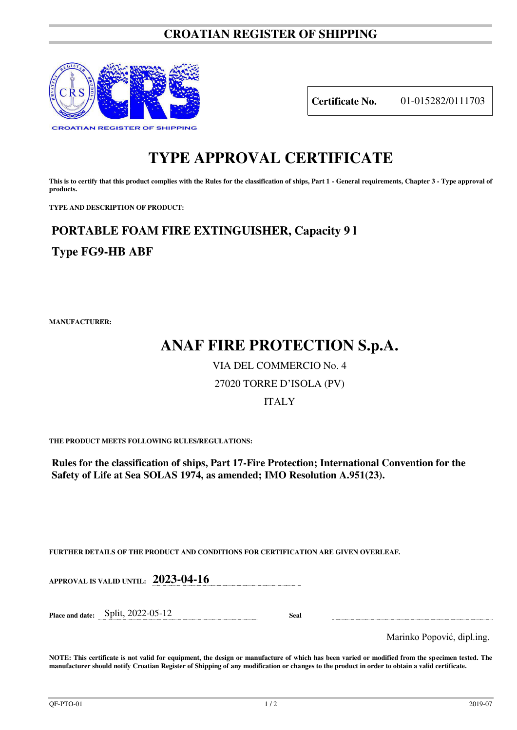## **CROATIAN REGISTER OF SHIPPING**



**Certificate No.** 01-015282/0111703

# **TYPE APPROVAL CERTIFICATE**

This is to certify that this product complies with the Rules for the classification of ships, Part 1 - General requirements, Chapter 3 - Type approval of **products.** 

**TYPE AND DESCRIPTION OF PRODUCT:** 

### **PORTABLE FOAM FIRE EXTINGUISHER, Capacity 9 l**

**Type FG9-HB ABF**

**MANUFACTURER:**

## **ANAF FIRE PROTECTION S.p.A.**

VIA DEL COMMERCIO No. 4

#### 27020 TORRE D'ISOLA (PV)

#### ITALY

**THE PRODUCT MEETS FOLLOWING RULES/REGULATIONS:**

**Rules for the classification of ships, Part 17-Fire Protection; International Convention for the Safety of Life at Sea SOLAS 1974, as amended; IMO Resolution A.951(23).**

**FURTHER DETAILS OF THE PRODUCT AND CONDITIONS FOR CERTIFICATION ARE GIVEN OVERLEAF.**

**APPROVAL IS VALID UNTIL: 2023-04-16**

**Place and date:** Split, 2022-05-12 **Seal** 

Marinko Popović, dipl.ing.

**NOTE: This certificate is not valid for equipment, the design or manufacture of which has been varied or modified from the specimen tested. The manufacturer should notify Croatian Register of Shipping of any modification or changes to the product in order to obtain a valid certificate.**